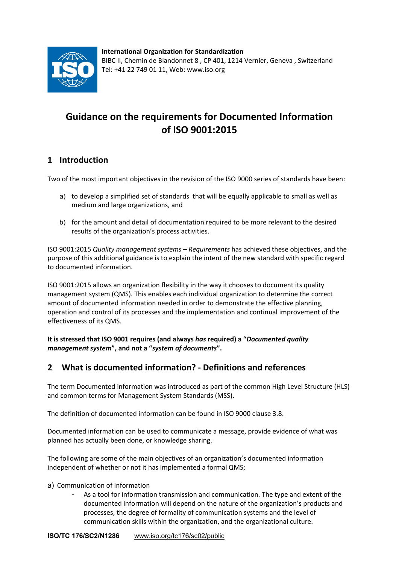

**International Organization for Standardization**  BIBC II, Chemin de Blandonnet 8 , CP 401, 1214 Vernier, Geneva , Switzerland Tel: +41 22 749 01 11, Web: www.iso.org

# **Guidance on the requirements for Documented Information of ISO 9001:2015**

# **1 Introduction**

Two of the most important objectives in the revision of the ISO 9000 series of standards have been:

- a) to develop a simplified set of standards that will be equally applicable to small as well as medium and large organizations, and
- b) for the amount and detail of documentation required to be more relevant to the desired results of the organization's process activities.

ISO 9001:2015 *Quality management systems – Requirements* has achieved these objectives, and the purpose of this additional guidance is to explain the intent of the new standard with specific regard to documented information.

ISO 9001:2015 allows an organization flexibility in the way it chooses to document its quality management system (QMS). This enables each individual organization to determine the correct amount of documented information needed in order to demonstrate the effective planning, operation and control of its processes and the implementation and continual improvement of the effectiveness of its QMS.

**It is stressed that ISO 9001 requires (and always** *has* **required) a "***Documented quality management system***", and not a "***system of documents***".**

## **2 What is documented information? ‐ Definitions and references**

The term Documented information was introduced as part of the common High Level Structure (HLS) and common terms for Management System Standards (MSS).

The definition of documented information can be found in ISO 9000 clause 3.8.

Documented information can be used to communicate a message, provide evidence of what was planned has actually been done, or knowledge sharing.

The following are some of the main objectives of an organization's documented information independent of whether or not it has implemented a formal QMS;

#### a) Communication of Information

As a tool for information transmission and communication. The type and extent of the documented information will depend on the nature of the organization's products and processes, the degree of formality of communication systems and the level of communication skills within the organization, and the organizational culture.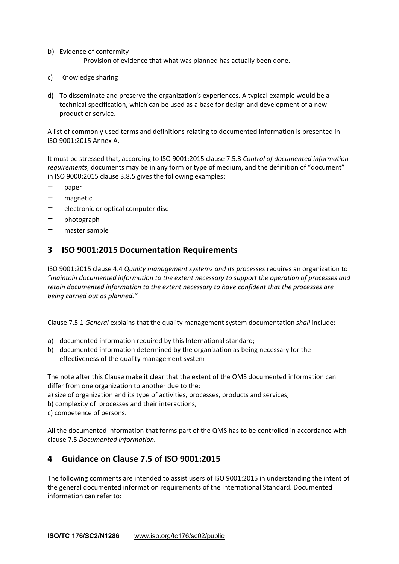- b) Evidence of conformity
	- Provision of evidence that what was planned has actually been done.
- c) Knowledge sharing
- d) To disseminate and preserve the organization's experiences. A typical example would be a technical specification, which can be used as a base for design and development of a new product or service.

A list of commonly used terms and definitions relating to documented information is presented in ISO 9001:2015 Annex A.

It must be stressed that, according to ISO 9001:2015 clause 7.5.3 *Control of documented information requirements,* documents may be in any form or type of medium, and the definition of "document" in ISO 9000:2015 clause 3.8.5 gives the following examples:

- − paper
- − magnetic
- − electronic or optical computer disc
- − photograph
- − master sample

#### **3 ISO 9001:2015 Documentation Requirements**

ISO 9001:2015 clause 4.4 *Quality management systems and its processes* requires an organization to *"maintain documented information to the extent necessary to support the operation of processes and retain documented information to the extent necessary to have confident that the processes are being carried out as planned."*

Clause 7.5.1 *General* explains that the quality management system documentation *shall* include:

- a) documented information required by this International standard;
- b) documented information determined by the organization as being necessary for the effectiveness of the quality management system

The note after this Clause make it clear that the extent of the QMS documented information can differ from one organization to another due to the:

- a) size of organization and its type of activities, processes, products and services;
- b) complexity of processes and their interactions,
- c) competence of persons.

All the documented information that forms part of the QMS has to be controlled in accordance with clause 7.5 *Documented information.*

### **4 Guidance on Clause 7.5 of ISO 9001:2015**

The following comments are intended to assist users of ISO 9001:2015 in understanding the intent of the general documented information requirements of the International Standard. Documented information can refer to: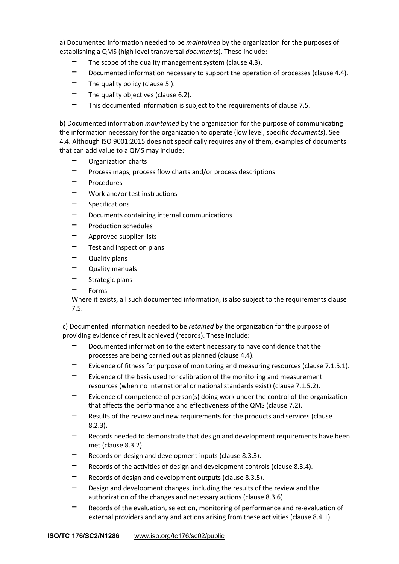a) Documented information needed to be *maintained* by the organization for the purposes of establishing a QMS (high level transversal *documents*). These include:

- The scope of the quality management system (clause 4.3).
- − Documented information necessary to support the operation of processes (clause 4.4).
- The quality policy (clause 5.).
- The quality objectives (clause 6.2).
- This documented information is subject to the requirements of clause 7.5.

b) Documented information *maintained* by the organization for the purpose of communicating the information necessary for the organization to operate (low level, specific *documents*). See 4.4. Although ISO 9001:2015 does not specifically requires any of them, examples of documents that can add value to a QMS may include:

- − Organization charts
- − Process maps, process flow charts and/or process descriptions
- − Procedures
- − Work and/or test instructions
- − Specifications
- − Documents containing internal communications
- − Production schedules
- − Approved supplier lists
- − Test and inspection plans
- Quality plans
- Quality manuals
- − Strategic plans
- − Forms

Where it exists, all such documented information, is also subject to the requirements clause 7.5.

c) Documented information needed to be *retained* by the organization for the purpose of providing evidence of result achieved (records). These include:

- Documented information to the extent necessary to have confidence that the processes are being carried out as planned (clause 4.4).
- Evidence of fitness for purpose of monitoring and measuring resources (clause 7.1.5.1).
- Evidence of the basis used for calibration of the monitoring and measurement resources (when no international or national standards exist) (clause 7.1.5.2).
- Evidence of competence of person(s) doing work under the control of the organization that affects the performance and effectiveness of the QMS (clause 7.2).
- Results of the review and new requirements for the products and services (clause 8.2.3).
- Records needed to demonstrate that design and development requirements have been met (clause 8.3.2)
- − Records on design and development inputs (clause 8.3.3).
- − Records of the activities of design and development controls (clause 8.3.4).
- Records of design and development outputs (clause 8.3.5).
- Design and development changes, including the results of the review and the authorization of the changes and necessary actions (clause 8.3.6).
- − Records of the evaluation, selection, monitoring of performance and re‐evaluation of external providers and any and actions arising from these activities (clause 8.4.1)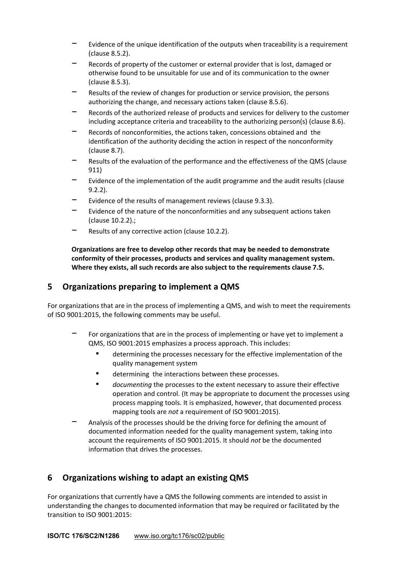- Evidence of the unique identification of the outputs when traceability is a requirement (clause 8.5.2).
- Records of property of the customer or external provider that is lost, damaged or otherwise found to be unsuitable for use and of its communication to the owner (clause 8.5.3).
- − Results of the review of changes for production or service provision, the persons authorizing the change, and necessary actions taken (clause 8.5.6).
- Records of the authorized release of products and services for delivery to the customer including acceptance criteria and traceability to the authorizing person(s) (clause 8.6).
- Records of nonconformities, the actions taken, concessions obtained and the identification of the authority deciding the action in respect of the nonconformity (clause 8.7).
- − Results of the evaluation of the performance and the effectiveness of the QMS (clause 911)
- Evidence of the implementation of the audit programme and the audit results (clause 9.2.2).
- Evidence of the results of management reviews (clause 9.3.3).
- Evidence of the nature of the nonconformities and any subsequent actions taken (clause 10.2.2).;
- Results of any corrective action (clause 10.2.2).

**Organizations are free to develop other records that may be needed to demonstrate conformity of their processes, products and services and quality management system. Where they exists, all such records are also subject to the requirements clause 7.5.**

## **5 Organizations preparing to implement a QMS**

For organizations that are in the process of implementing a QMS, and wish to meet the requirements of ISO 9001:2015, the following comments may be useful.

- For organizations that are in the process of implementing or have yet to implement a QMS, ISO 9001:2015 emphasizes a process approach. This includes:
	- determining the processes necessary for the effective implementation of the quality management system
	- determining the interactions between these processes.
	- *▪ documenting* the processes to the extent necessary to assure their effective operation and control. (It may be appropriate to document the processes using process mapping tools. It is emphasized, however, that documented process mapping tools are *not* a requirement of ISO 9001:2015).
- − Analysis of the processes should be the driving force for defining the amount of documented information needed for the quality management system, taking into account the requirements of ISO 9001:2015. It should *not* be the documented information that drives the processes.

## **6 Organizations wishing to adapt an existing QMS**

For organizations that currently have a QMS the following comments are intended to assist in understanding the changes to documented information that may be required or facilitated by the transition to ISO 9001:2015: